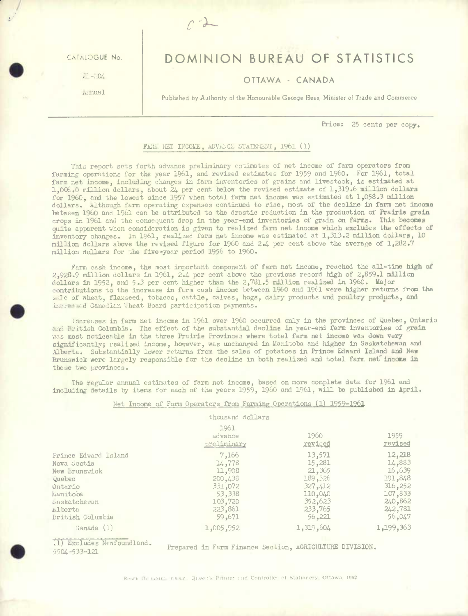CATALOGUE No

**S** . I  $\frac{1}{21-204}$ 

.mual

.

.

# **DOMINION BUREAU OF STATISTICS**

## **OTTAWA** - **CANADA**

Published by Authority of the Honourable George Hees, Minister of Trade and Commerce

**Price: 25** cents per **copy.** 

#### FAG. NET INCOME, ADVANCE STATEMENT, 1961 (1)

*c\_-* 

This report sets forth advance preliminary estimates of net income of farm operators from farming operations for the year 1961, and revised estimates for *1959* and 1960. For 1961, total farm net income, including changes in farm inventories of grains and livestock, is estimated at 1,006.0 million dollars, about 24 per cent below the revised estimate of 1,319.6 million dollars for 1960, and the lowest since 1957 when total farm net income was estimated at *1,058.3* million dollars. Although farm operating expenses continued to rise, most of the decline in farm net income between 1960 and 1961 can be attributed to the drastic reduction in the production of Prairie grain crops in 1961 and the consequent drop in the year-end inventories of grain on farms. This becomes quite apparent when consideration is given to realized farm net income which excludes the effects of inventory **changes. In** 1961, realized farm net income was estimated at *1,313.2* million **dollars, 10**  million dollars above the revised figure for 1960 and 2.4 per cent above the average of 1,282.7 million dollars for the five-year period 1956 to 1960.

Farm cash income, the most important component of farm net income, reached the all-time high of **2,928.9 million dollars** in 1961, 2.4 per cent above the previous record high of 2,859.1 million dollars in **1952, and** *5.3* per **cent** higher **than the 2,781.5** million **realized** in **1960. Major contributions to the** increase **in farm cash income between 1960** and 1961 were higher returns from **the**  sale of wheat, flaxseed, tobacco, cattle, calves, hogs, dairy products and poultry products, and increased Canadian Wheat Board participation payments.

I:retses in farm **net** income in 1961 over 1960 **occurred only in the provinces of** Quebec, **Ontario**  and Iritish Columbia. The effect of the substantial decline in year-end farm inventories of grain *was* **most noticeable in the three Prairie** Provinces **where total farm** net **income was** down very significantly; realized income, however, was unchanged in Manitoba and higher in Saskatchewan and Alberta. **Substantially lower returns from the sales of** potatoes in Prince Edward **Island** and **New**  Brunswick **were largely responsible for the decline** in **both realized and total** farm **nef** income in **these two provinces.** 

The regular annual estimates of farm **net income,** based **on** more complete data for 1961 and including details *by* **items for each of** the years 1959, 1960 and 1961, will be published in **April.** 

### Net Income of Farm Operators from Farming Operations (1) 1959-1961

#### thousand dollars

|                                                                                                                                      | 1961<br>advance<br>preliminary                                                            | 1960<br>revised                                                                              | 1959<br>revised                                                                             |
|--------------------------------------------------------------------------------------------------------------------------------------|-------------------------------------------------------------------------------------------|----------------------------------------------------------------------------------------------|---------------------------------------------------------------------------------------------|
| Prince Edward Island<br>Nova Scotia<br>New Brunswick<br>Quebec<br>Ontario<br>Manitoba<br>Laskatchewan<br>alberta<br>British Columbia | 7,166<br>14,778<br>11,908<br>200,438<br>331,072<br>53,338<br>103,720<br>223,861<br>59,671 | 13,571<br>15,281<br>21,365<br>189,326<br>327, 412<br>110,040<br>352,623<br>233,765<br>56,221 | 12,218<br>14,883<br>16,639<br>191,848<br>316,252<br>107,833<br>240,862<br>242,781<br>56,047 |
| Canada (1)                                                                                                                           | 1,005,952                                                                                 | 1,319,604                                                                                    | 1,199,363                                                                                   |

**(1) Jxcludes Newfoundland.** 

(1) axcludes Newloundland.<br>5504-533-121<br>**Prepared in Farm Finance Section, AGRICULTURE DIVISION.**